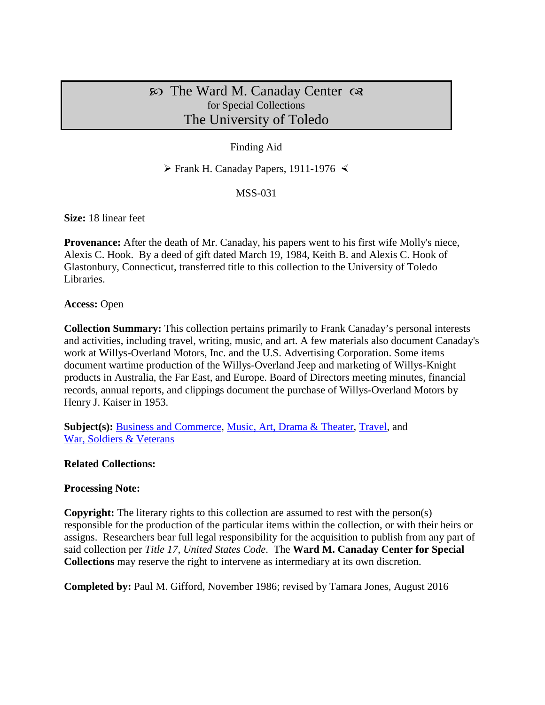# $\infty$  The Ward M. Canaday Center  $\infty$ for Special Collections The University of Toledo

# Finding Aid

 $\triangleright$  Frank H. Canaday Papers, 1911-1976  $\triangleleft$ 

#### MSS-031

**Size:** 18 linear feet

**Provenance:** After the death of Mr. Canaday, his papers went to his first wife Molly's niece, Alexis C. Hook. By a deed of gift dated March 19, 1984, Keith B. and Alexis C. Hook of Glastonbury, Connecticut, transferred title to this collection to the University of Toledo Libraries.

#### **Access:** Open

**Collection Summary:** This collection pertains primarily to Frank Canaday's personal interests and activities, including travel, writing, music, and art. A few materials also document Canaday's work at Willys-Overland Motors, Inc. and the U.S. Advertising Corporation. Some items document wartime production of the Willys-Overland Jeep and marketing of Willys-Knight products in Australia, the Far East, and Europe. Board of Directors meeting minutes, financial records, annual reports, and clippings document the purchase of Willys-Overland Motors by Henry J. Kaiser in 1953.

**Subject(s):** [Business and Commerce,](http://www.utoledo.edu/library/canaday/guidepages/business.html) [Music, Art, Drama & Theater,](http://www.utoledo.edu/library/canaday/guidepages/music.html) [Travel,](http://www.utoledo.edu/library/canaday/guidepages/travel.html) and [War, Soldiers & Veterans](http://www.utoledo.edu/library/canaday/guidepages/war.html)

#### **Related Collections:**

#### **Processing Note:**

**Copyright:** The literary rights to this collection are assumed to rest with the person(s) responsible for the production of the particular items within the collection, or with their heirs or assigns. Researchers bear full legal responsibility for the acquisition to publish from any part of said collection per *Title 17, United States Code*. The **Ward M. Canaday Center for Special Collections** may reserve the right to intervene as intermediary at its own discretion.

**Completed by:** Paul M. Gifford, November 1986; revised by Tamara Jones, August 2016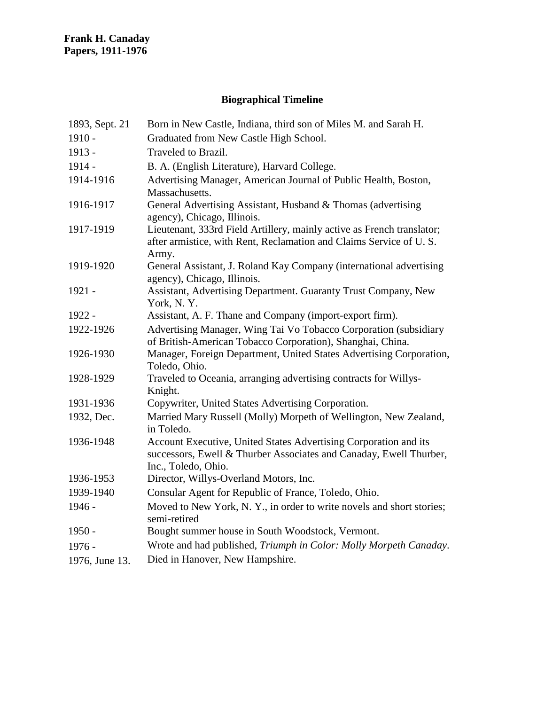# **Biographical Timeline**

| 1893, Sept. 21 | Born in New Castle, Indiana, third son of Miles M. and Sarah H.                                                                                               |
|----------------|---------------------------------------------------------------------------------------------------------------------------------------------------------------|
| $1910 -$       | Graduated from New Castle High School.                                                                                                                        |
| 1913 -         | Traveled to Brazil.                                                                                                                                           |
| $1914 -$       | B. A. (English Literature), Harvard College.                                                                                                                  |
| 1914-1916      | Advertising Manager, American Journal of Public Health, Boston,<br>Massachusetts.                                                                             |
| 1916-1917      | General Advertising Assistant, Husband & Thomas (advertising<br>agency), Chicago, Illinois.                                                                   |
| 1917-1919      | Lieutenant, 333rd Field Artillery, mainly active as French translator;<br>after armistice, with Rent, Reclamation and Claims Service of U.S.<br>Army.         |
| 1919-1920      | General Assistant, J. Roland Kay Company (international advertising<br>agency), Chicago, Illinois.                                                            |
| 1921 -         | Assistant, Advertising Department. Guaranty Trust Company, New<br>York, N.Y.                                                                                  |
| 1922 -         | Assistant, A. F. Thane and Company (import-export firm).                                                                                                      |
| 1922-1926      | Advertising Manager, Wing Tai Vo Tobacco Corporation (subsidiary<br>of British-American Tobacco Corporation), Shanghai, China.                                |
| 1926-1930      | Manager, Foreign Department, United States Advertising Corporation,<br>Toledo, Ohio.                                                                          |
| 1928-1929      | Traveled to Oceania, arranging advertising contracts for Willys-<br>Knight.                                                                                   |
| 1931-1936      | Copywriter, United States Advertising Corporation.                                                                                                            |
| 1932, Dec.     | Married Mary Russell (Molly) Morpeth of Wellington, New Zealand,<br>in Toledo.                                                                                |
| 1936-1948      | Account Executive, United States Advertising Corporation and its<br>successors, Ewell & Thurber Associates and Canaday, Ewell Thurber,<br>Inc., Toledo, Ohio. |
| 1936-1953      | Director, Willys-Overland Motors, Inc.                                                                                                                        |
| 1939-1940      | Consular Agent for Republic of France, Toledo, Ohio.                                                                                                          |
| 1946 -         | Moved to New York, N.Y., in order to write novels and short stories;<br>semi-retired                                                                          |
| $1950 -$       | Bought summer house in South Woodstock, Vermont.                                                                                                              |
| $1976 -$       | Wrote and had published, Triumph in Color: Molly Morpeth Canaday.                                                                                             |
| 1976, June 13. | Died in Hanover, New Hampshire.                                                                                                                               |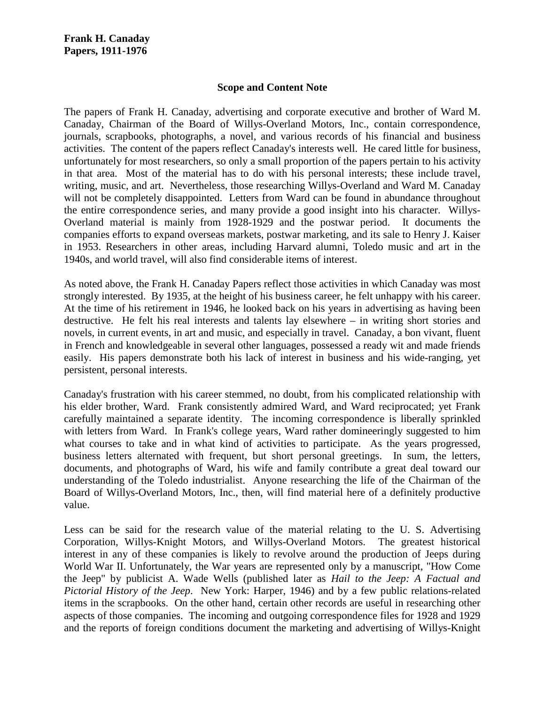#### **Scope and Content Note**

The papers of Frank H. Canaday, advertising and corporate executive and brother of Ward M. Canaday, Chairman of the Board of Willys-Overland Motors, Inc., contain correspondence, journals, scrapbooks, photographs, a novel, and various records of his financial and business activities. The content of the papers reflect Canaday's interests well. He cared little for business, unfortunately for most researchers, so only a small proportion of the papers pertain to his activity in that area. Most of the material has to do with his personal interests; these include travel, writing, music, and art. Nevertheless, those researching Willys-Overland and Ward M. Canaday will not be completely disappointed. Letters from Ward can be found in abundance throughout the entire correspondence series, and many provide a good insight into his character. Willys-Overland material is mainly from 1928-1929 and the postwar period. It documents the companies efforts to expand overseas markets, postwar marketing, and its sale to Henry J. Kaiser in 1953. Researchers in other areas, including Harvard alumni, Toledo music and art in the 1940s, and world travel, will also find considerable items of interest.

As noted above, the Frank H. Canaday Papers reflect those activities in which Canaday was most strongly interested. By 1935, at the height of his business career, he felt unhappy with his career. At the time of his retirement in 1946, he looked back on his years in advertising as having been destructive. He felt his real interests and talents lay elsewhere – in writing short stories and novels, in current events, in art and music, and especially in travel. Canaday, a bon vivant, fluent in French and knowledgeable in several other languages, possessed a ready wit and made friends easily. His papers demonstrate both his lack of interest in business and his wide-ranging, yet persistent, personal interests.

Canaday's frustration with his career stemmed, no doubt, from his complicated relationship with his elder brother, Ward. Frank consistently admired Ward, and Ward reciprocated; yet Frank carefully maintained a separate identity. The incoming correspondence is liberally sprinkled with letters from Ward. In Frank's college years, Ward rather domineeringly suggested to him what courses to take and in what kind of activities to participate. As the years progressed, business letters alternated with frequent, but short personal greetings. In sum, the letters, documents, and photographs of Ward, his wife and family contribute a great deal toward our understanding of the Toledo industrialist. Anyone researching the life of the Chairman of the Board of Willys-Overland Motors, Inc., then, will find material here of a definitely productive value.

Less can be said for the research value of the material relating to the U. S. Advertising Corporation, Willys-Knight Motors, and Willys-Overland Motors. The greatest historical interest in any of these companies is likely to revolve around the production of Jeeps during World War II. Unfortunately, the War years are represented only by a manuscript, "How Come the Jeep" by publicist A. Wade Wells (published later as *Hail to the Jeep: A Factual and Pictorial History of the Jeep*. New York: Harper, 1946) and by a few public relations-related items in the scrapbooks. On the other hand, certain other records are useful in researching other aspects of those companies. The incoming and outgoing correspondence files for 1928 and 1929 and the reports of foreign conditions document the marketing and advertising of Willys-Knight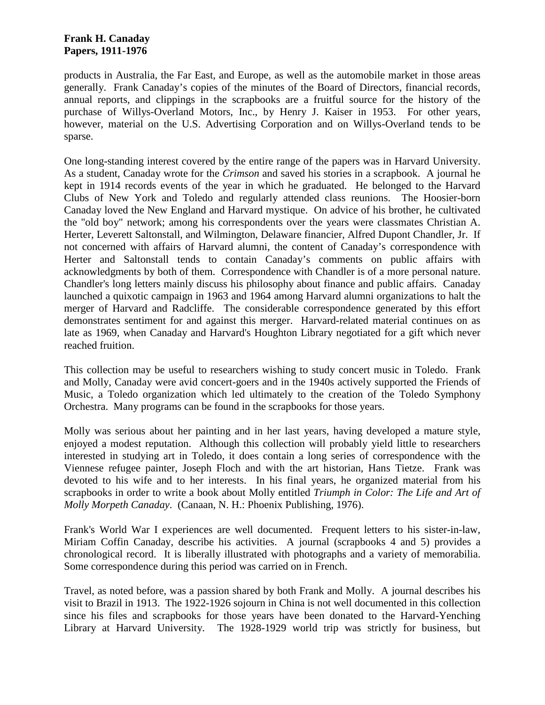products in Australia, the Far East, and Europe, as well as the automobile market in those areas generally. Frank Canaday's copies of the minutes of the Board of Directors, financial records, annual reports, and clippings in the scrapbooks are a fruitful source for the history of the purchase of Willys-Overland Motors, Inc., by Henry J. Kaiser in 1953. For other years, however, material on the U.S. Advertising Corporation and on Willys-Overland tends to be sparse.

One long-standing interest covered by the entire range of the papers was in Harvard University. As a student, Canaday wrote for the *Crimson* and saved his stories in a scrapbook. A journal he kept in 1914 records events of the year in which he graduated. He belonged to the Harvard Clubs of New York and Toledo and regularly attended class reunions. The Hoosier-born Canaday loved the New England and Harvard mystique. On advice of his brother, he cultivated the "old boy" network; among his correspondents over the years were classmates Christian A. Herter, Leverett Saltonstall, and Wilmington, Delaware financier, Alfred Dupont Chandler, Jr. If not concerned with affairs of Harvard alumni, the content of Canaday's correspondence with Herter and Saltonstall tends to contain Canaday's comments on public affairs with acknowledgments by both of them. Correspondence with Chandler is of a more personal nature. Chandler's long letters mainly discuss his philosophy about finance and public affairs. Canaday launched a quixotic campaign in 1963 and 1964 among Harvard alumni organizations to halt the merger of Harvard and Radcliffe. The considerable correspondence generated by this effort demonstrates sentiment for and against this merger. Harvard-related material continues on as late as 1969, when Canaday and Harvard's Houghton Library negotiated for a gift which never reached fruition.

This collection may be useful to researchers wishing to study concert music in Toledo. Frank and Molly, Canaday were avid concert-goers and in the 1940s actively supported the Friends of Music, a Toledo organization which led ultimately to the creation of the Toledo Symphony Orchestra. Many programs can be found in the scrapbooks for those years.

Molly was serious about her painting and in her last years, having developed a mature style, enjoyed a modest reputation. Although this collection will probably yield little to researchers interested in studying art in Toledo, it does contain a long series of correspondence with the Viennese refugee painter, Joseph Floch and with the art historian, Hans Tietze. Frank was devoted to his wife and to her interests. In his final years, he organized material from his scrapbooks in order to write a book about Molly entitled *Triumph in Color: The Life and Art of Molly Morpeth Canaday*. (Canaan, N. H.: Phoenix Publishing, 1976).

Frank's World War I experiences are well documented. Frequent letters to his sister-in-law, Miriam Coffin Canaday, describe his activities. A journal (scrapbooks 4 and 5) provides a chronological record. It is liberally illustrated with photographs and a variety of memorabilia. Some correspondence during this period was carried on in French.

Travel, as noted before, was a passion shared by both Frank and Molly. A journal describes his visit to Brazil in 1913. The 1922-1926 sojourn in China is not well documented in this collection since his files and scrapbooks for those years have been donated to the Harvard-Yenching Library at Harvard University. The 1928-1929 world trip was strictly for business, but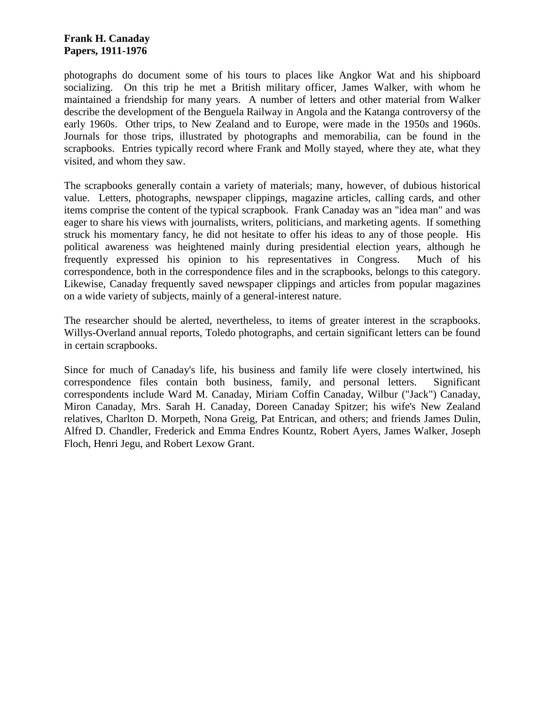photographs do document some of his tours to places like Angkor Wat and his shipboard socializing. On this trip he met a British military officer, James Walker, with whom he maintained a friendship for many years. A number of letters and other material from Walker describe the development of the Benguela Railway in Angola and the Katanga controversy of the early 1960s. Other trips, to New Zealand and to Europe, were made in the 1950s and 1960s. Journals for those trips, illustrated by photographs and memorabilia, can be found in the scrapbooks. Entries typically record where Frank and Molly stayed, where they ate, what they visited, and whom they saw.

The scrapbooks generally contain a variety of materials; many, however, of dubious historical value. Letters, photographs, newspaper clippings, magazine articles, calling cards, and other items comprise the content of the typical scrapbook. Frank Canaday was an "idea man" and was eager to share his views with journalists, writers, politicians, and marketing agents. If something struck his momentary fancy, he did not hesitate to offer his ideas to any of those people. His political awareness was heightened mainly during presidential election years, although he frequently expressed his opinion to his representatives in Congress. Much of his correspondence, both in the correspondence files and in the scrapbooks, belongs to this category. Likewise, Canaday frequently saved newspaper clippings and articles from popular magazines on a wide variety of subjects, mainly of a general-interest nature.

The researcher should be alerted, nevertheless, to items of greater interest in the scrapbooks. Willys-Overland annual reports, Toledo photographs, and certain significant letters can be found in certain scrapbooks.

Since for much of Canaday's life, his business and family life were closely intertwined, his correspondence files contain both business, family, and personal letters. Significant correspondents include Ward M. Canaday, Miriam Coffin Canaday, Wilbur ("Jack") Canaday, Miron Canaday, Mrs. Sarah H. Canaday, Doreen Canaday Spitzer; his wife's New Zealand relatives, Charlton D. Morpeth, Nona Greig, Pat Entrican, and others; and friends James Dulin, Alfred D. Chandler, Frederick and Emma Endres Kountz, Robert Ayers, James Walker, Joseph Floch, Henri Jegu, and Robert Lexow Grant.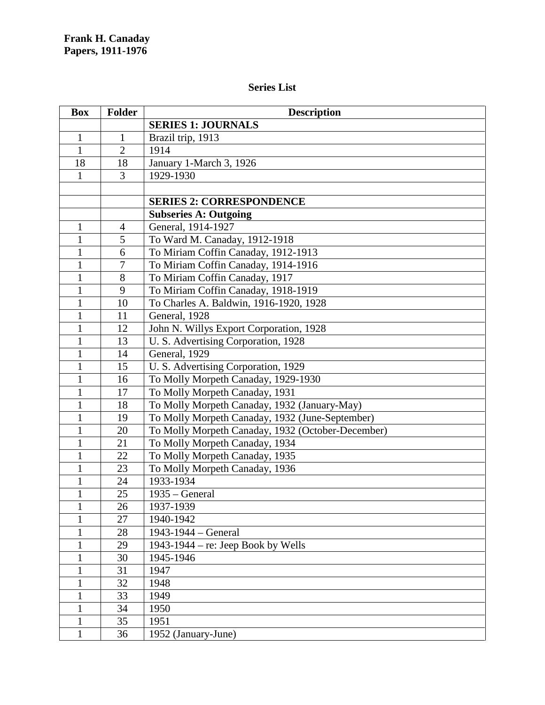# **Series List**

| <b>Box</b>   | <b>Folder</b>  | <b>Description</b>                                |
|--------------|----------------|---------------------------------------------------|
|              |                | <b>SERIES 1: JOURNALS</b>                         |
| $\mathbf{1}$ | $\mathbf{1}$   | Brazil trip, 1913                                 |
| $\mathbf{1}$ | $\overline{2}$ | 1914                                              |
| 18           | 18             | January 1-March 3, 1926                           |
| $\mathbf{1}$ | $\overline{3}$ | 1929-1930                                         |
|              |                |                                                   |
|              |                | <b>SERIES 2: CORRESPONDENCE</b>                   |
|              |                | <b>Subseries A: Outgoing</b>                      |
| $\mathbf{1}$ | $\overline{4}$ | General, 1914-1927                                |
| 1            | 5              | To Ward M. Canaday, 1912-1918                     |
| $\mathbf{1}$ | 6              | To Miriam Coffin Canaday, 1912-1913               |
| $\mathbf{1}$ | 7              | To Miriam Coffin Canaday, 1914-1916               |
| $\mathbf{1}$ | 8              | To Miriam Coffin Canaday, 1917                    |
| $\mathbf{1}$ | 9              | To Miriam Coffin Canaday, 1918-1919               |
| $\mathbf{1}$ | 10             | To Charles A. Baldwin, 1916-1920, 1928            |
| $\mathbf{1}$ | 11             | General, 1928                                     |
| $\mathbf{1}$ | 12             | John N. Willys Export Corporation, 1928           |
| $\mathbf{1}$ | 13             | U.S. Advertising Corporation, 1928                |
| $\mathbf{1}$ | 14             | General, 1929                                     |
| 1            | 15             | U.S. Advertising Corporation, 1929                |
| $\mathbf{1}$ | 16             | To Molly Morpeth Canaday, 1929-1930               |
| $\mathbf{1}$ | 17             | To Molly Morpeth Canaday, 1931                    |
| 1            | 18             | To Molly Morpeth Canaday, 1932 (January-May)      |
| $\mathbf{1}$ | 19             | To Molly Morpeth Canaday, 1932 (June-September)   |
| 1            | 20             | To Molly Morpeth Canaday, 1932 (October-December) |
| $\mathbf{1}$ | 21             | To Molly Morpeth Canaday, 1934                    |
| $\mathbf{1}$ | 22             | To Molly Morpeth Canaday, 1935                    |
| 1            | 23             | To Molly Morpeth Canaday, 1936                    |
| 1            | 24             | 1933-1934                                         |
| $\mathbf{1}$ | 25             | $1935 - General$                                  |
| 1            | 26             | 1937-1939                                         |
|              | 27             | 1940-1942                                         |
|              | 28             | 1943-1944 - General                               |
| $\mathbf{1}$ | 29             | 1943-1944 – re: Jeep Book by Wells                |
| 1            | 30             | 1945-1946                                         |
| $\mathbf{1}$ | 31             | 1947                                              |
| $\mathbf{1}$ | 32             | 1948                                              |
| 1            | 33             | 1949                                              |
| $\mathbf{1}$ | 34             | 1950                                              |
| 1            | 35             | 1951                                              |
| $\mathbf{1}$ | 36             | 1952 (January-June)                               |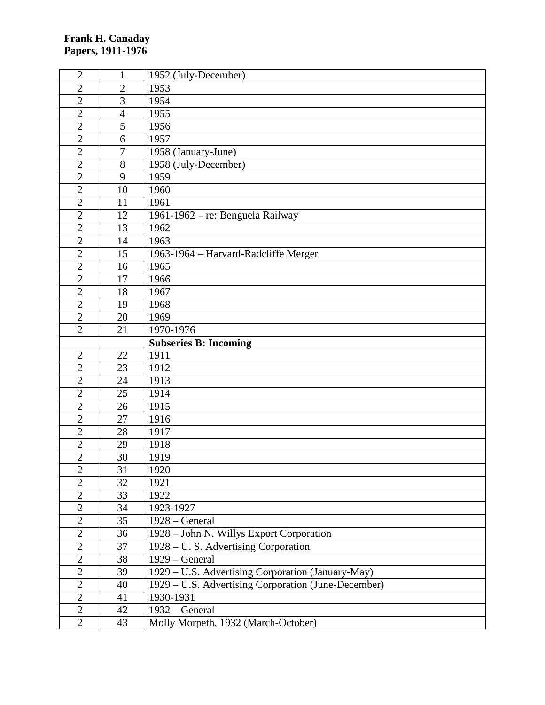| $\mathfrak{2}$ | 1              | 1952 (July-December)                                |
|----------------|----------------|-----------------------------------------------------|
| $\overline{2}$ | $\overline{2}$ | 1953                                                |
| $\overline{2}$ | 3              | 1954                                                |
| $\overline{2}$ | $\overline{4}$ | 1955                                                |
| $\overline{2}$ | 5              | 1956                                                |
| $\overline{2}$ | 6              | 1957                                                |
| $\overline{2}$ | $\overline{7}$ | 1958 (January-June)                                 |
| $\overline{2}$ | 8              | 1958 (July-December)                                |
| $\overline{2}$ | 9              | 1959                                                |
| $\overline{2}$ | 10             | 1960                                                |
| $\overline{2}$ | 11             | 1961                                                |
| $\overline{2}$ | 12             | 1961-1962 - re: Benguela Railway                    |
| $\overline{2}$ | 13             | 1962                                                |
| $\overline{2}$ | 14             | 1963                                                |
| $\overline{2}$ | 15             | 1963-1964 - Harvard-Radcliffe Merger                |
| $\overline{2}$ | 16             | 1965                                                |
| $\overline{2}$ | 17             | 1966                                                |
| $\overline{2}$ | 18             | 1967                                                |
| $\overline{2}$ | 19             | 1968                                                |
| $\overline{2}$ | 20             | 1969                                                |
| $\overline{2}$ | 21             | 1970-1976                                           |
|                |                | <b>Subseries B: Incoming</b>                        |
| $\mathfrak{2}$ | 22             | 1911                                                |
| $\overline{2}$ | 23             | 1912                                                |
| $\overline{2}$ | 24             | 1913                                                |
| $\overline{2}$ | 25             | 1914                                                |
| $\overline{2}$ | 26             | 1915                                                |
| $\overline{2}$ | 27             | 1916                                                |
| $\overline{2}$ | 28             | 1917                                                |
| $\overline{2}$ | 29             | 1918                                                |
| $\overline{2}$ | 30             | 1919                                                |
| $\overline{c}$ | 31             | 1920                                                |
| $\overline{2}$ | 32             | 1921                                                |
| $\overline{2}$ | 33             | 1922                                                |
| $\overline{2}$ | 34             | 1923-1927                                           |
| $\overline{2}$ | 35             | 1928 - General                                      |
| $\overline{2}$ | 36             | 1928 - John N. Willys Export Corporation            |
| $\overline{2}$ | 37             | 1928 – U.S. Advertising Corporation                 |
| $\overline{2}$ | 38             | 1929 – General                                      |
| $\overline{2}$ | 39             | 1929 – U.S. Advertising Corporation (January-May)   |
| $\overline{2}$ | 40             | 1929 - U.S. Advertising Corporation (June-December) |
| $\overline{2}$ | 41             | 1930-1931                                           |
| $\mathbf{2}$   | 42             | 1932 – General                                      |
| $\overline{2}$ | 43             | Molly Morpeth, 1932 (March-October)                 |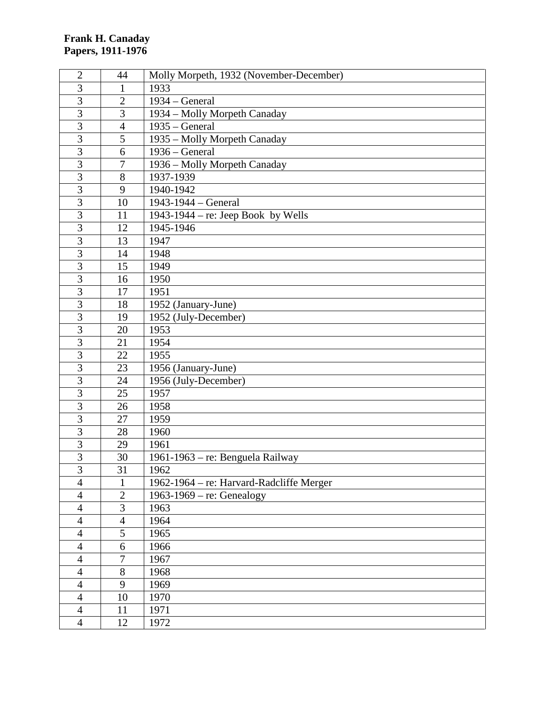| $\overline{2}$ | 44             | Molly Morpeth, 1932 (November-December)  |
|----------------|----------------|------------------------------------------|
| 3              | 1              | 1933                                     |
| 3              | $\overline{2}$ | $1934 - General$                         |
| $\overline{3}$ | 3              | 1934 – Molly Morpeth Canaday             |
| $\overline{3}$ | $\overline{4}$ | $1935 - General$                         |
| $\overline{3}$ | 5              | 1935 - Molly Morpeth Canaday             |
| $\overline{3}$ | 6              | $1936 - General$                         |
| $\overline{3}$ | $\overline{7}$ | 1936 - Molly Morpeth Canaday             |
| $\overline{3}$ | 8              | 1937-1939                                |
| 3              | 9              | 1940-1942                                |
| $\overline{3}$ | 10             | 1943-1944 - General                      |
| 3              | 11             | 1943-1944 – re: Jeep Book by Wells       |
| 3              | 12             | 1945-1946                                |
| $\overline{3}$ | 13             | 1947                                     |
| $\overline{3}$ | 14             | 1948                                     |
| 3              | 15             | 1949                                     |
| 3              | 16             | 1950                                     |
| 3              | 17             | 1951                                     |
| $\overline{3}$ | 18             | 1952 (January-June)                      |
| $\overline{3}$ | 19             | 1952 (July-December)                     |
| $\overline{3}$ | 20             | 1953                                     |
| $\overline{3}$ | 21             | 1954                                     |
| 3              | 22             | 1955                                     |
| $\overline{3}$ | 23             | 1956 (January-June)                      |
| $\overline{3}$ | 24             | 1956 (July-December)                     |
| 3              | 25             | 1957                                     |
| $\overline{3}$ | 26             | 1958                                     |
| 3              | 27             | 1959                                     |
| 3              | 28             | 1960                                     |
| $\overline{3}$ | 29             | 1961                                     |
| 3              | 30             | 1961-1963 - re: Benguela Railway         |
| 3              | 31             | 1962                                     |
| $\overline{4}$ | 1              | 1962-1964 – re: Harvard-Radcliffe Merger |
| $\overline{4}$ | $\mathbf{2}$   | $1963-1969$ – re: Genealogy              |
| $\overline{4}$ | 3              | 1963                                     |
| $\overline{4}$ | $\overline{4}$ | 1964                                     |
| $\overline{4}$ | 5              | 1965                                     |
| $\overline{4}$ | 6              | 1966                                     |
| $\overline{4}$ | $\overline{7}$ | 1967                                     |
| $\overline{4}$ | 8              | 1968                                     |
| $\overline{4}$ | 9              | 1969                                     |
| $\overline{4}$ | 10             | 1970                                     |
| $\overline{4}$ | 11             | 1971                                     |
| $\overline{4}$ | 12             | 1972                                     |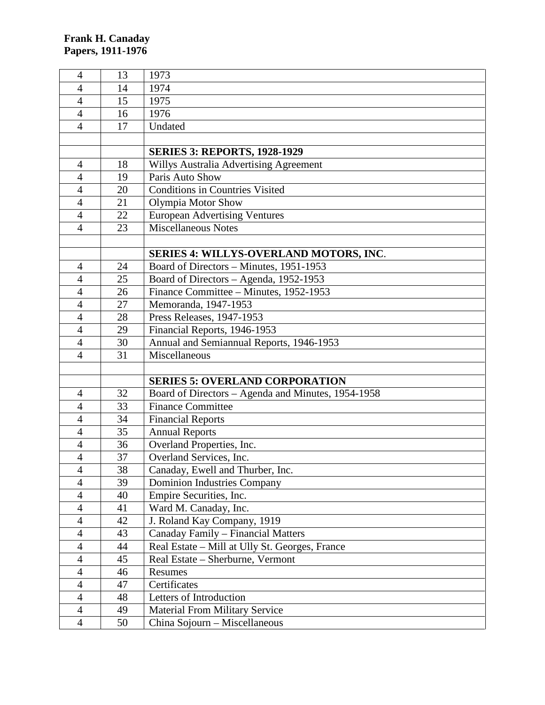| $\overline{4}$ | 13       | 1973                                                                   |
|----------------|----------|------------------------------------------------------------------------|
| $\overline{4}$ | 14       | 1974                                                                   |
| $\overline{4}$ | 15       | 1975                                                                   |
| $\overline{4}$ | 16       | 1976                                                                   |
| $\overline{4}$ | 17       | Undated                                                                |
|                |          |                                                                        |
|                |          | <b>SERIES 3: REPORTS, 1928-1929</b>                                    |
| $\overline{4}$ | 18       | Willys Australia Advertising Agreement                                 |
| $\overline{4}$ | 19       | Paris Auto Show                                                        |
| $\overline{4}$ | 20       | <b>Conditions in Countries Visited</b>                                 |
| $\overline{4}$ | 21       | Olympia Motor Show                                                     |
| $\overline{4}$ | 22       | <b>European Advertising Ventures</b>                                   |
| $\overline{4}$ | 23       | <b>Miscellaneous Notes</b>                                             |
|                |          |                                                                        |
|                |          | <b>SERIES 4: WILLYS-OVERLAND MOTORS, INC.</b>                          |
| $\overline{4}$ | 24       | Board of Directors - Minutes, 1951-1953                                |
| $\overline{4}$ | 25       | Board of Directors - Agenda, 1952-1953                                 |
| $\overline{4}$ | 26       | Finance Committee - Minutes, 1952-1953                                 |
| $\overline{4}$ | 27       | Memoranda, 1947-1953                                                   |
| $\overline{4}$ | 28       | Press Releases, 1947-1953                                              |
| $\overline{4}$ | 29       | Financial Reports, 1946-1953                                           |
| 4              | 30       | Annual and Semiannual Reports, 1946-1953                               |
| $\overline{4}$ | 31       | Miscellaneous                                                          |
|                |          |                                                                        |
|                |          | <b>SERIES 5: OVERLAND CORPORATION</b>                                  |
| 4              | 32       | Board of Directors - Agenda and Minutes, 1954-1958                     |
| $\overline{4}$ | 33       | <b>Finance Committee</b>                                               |
| 4              | 34       | <b>Financial Reports</b>                                               |
| $\overline{4}$ | 35       | <b>Annual Reports</b>                                                  |
| $\overline{4}$ | 36       | Overland Properties, Inc.                                              |
| $\overline{4}$ | 37       | Overland Services, Inc.                                                |
| $\overline{4}$ | 38       | Canaday, Ewell and Thurber, Inc.                                       |
| $\overline{4}$ | 39       | <b>Dominion Industries Company</b>                                     |
| $\overline{4}$ | 40       | Empire Securities, Inc.                                                |
| $\overline{4}$ | 41       | Ward M. Canaday, Inc.                                                  |
| $\overline{4}$ | 42       | J. Roland Kay Company, 1919                                            |
| $\overline{4}$ | 43       | Canaday Family - Financial Matters                                     |
| $\overline{4}$ | 44       | Real Estate – Mill at Ully St. Georges, France                         |
| $\overline{4}$ | 45       | Real Estate - Sherburne, Vermont                                       |
| $\overline{4}$ | 46       | Resumes                                                                |
| 4              | 47       | Certificates                                                           |
| $\overline{4}$ | 48       | Letters of Introduction                                                |
| $\overline{4}$ |          |                                                                        |
|                |          |                                                                        |
| $\overline{4}$ | 49<br>50 | <b>Material From Military Service</b><br>China Sojourn - Miscellaneous |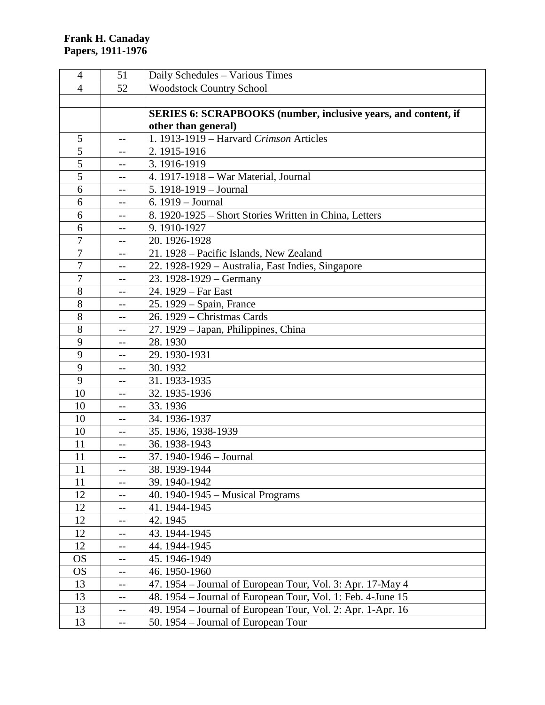| $\overline{4}$ | 51   | Daily Schedules - Various Times                                       |
|----------------|------|-----------------------------------------------------------------------|
| 4              | 52   | <b>Woodstock Country School</b>                                       |
|                |      |                                                                       |
|                |      | <b>SERIES 6: SCRAPBOOKS (number, inclusive years, and content, if</b> |
|                |      | other than general)                                                   |
| 5              | $-$  | 1. 1913-1919 - Harvard Crimson Articles                               |
| 5              |      | 2.1915-1916                                                           |
| 5              | --   | 3.1916-1919                                                           |
| 5              | $-$  | 4. 1917-1918 - War Material, Journal                                  |
| 6              |      | 5. $1918-1919 - Journal$                                              |
| 6              | --   | 6. 1919 - Journal                                                     |
| 6              |      | 8. 1920-1925 – Short Stories Written in China, Letters                |
| 6              | $-$  | 9.1910-1927                                                           |
| 7              | $-$  | 20. 1926-1928                                                         |
| $\overline{7}$ | $-$  | 21. 1928 – Pacific Islands, New Zealand                               |
| 7              | $-$  | 22. 1928-1929 - Australia, East Indies, Singapore                     |
| $\overline{7}$ | $-$  | 23. $1928-1929$ – Germany                                             |
| 8              |      | 24. 1929 – Far East                                                   |
| 8              | $-$  | 25. 1929 – Spain, France                                              |
| 8              |      | 26. 1929 - Christmas Cards                                            |
| 8              | $-1$ | 27. 1929 – Japan, Philippines, China                                  |
| 9              | --   | 28.1930                                                               |
| 9              |      | 29.1930-1931                                                          |
| 9              | --   | 30.1932                                                               |
| 9              | --   | 31.1933-1935                                                          |
| 10             |      | 32. 1935-1936                                                         |
| 10             | --   | 33.1936                                                               |
| 10             | --   | 34.1936-1937                                                          |
| 10             | --   | 35. 1936, 1938-1939                                                   |
| 11             | $-$  | 36.1938-1943                                                          |
| 11             | $-$  | 37. 1940-1946 - Journal                                               |
| 11             | --   | 38.1939-1944                                                          |
| 11             | --   | 39.1940-1942                                                          |
| 12             | --   | 40. 1940-1945 – Musical Programs                                      |
| 12             | --   | 41.1944-1945                                                          |
| 12             |      | 42.1945                                                               |
| 12             | --   | 43.1944-1945                                                          |
| 12             | --   | 44. 1944-1945                                                         |
| <b>OS</b>      | --   | 45.1946-1949                                                          |
| <b>OS</b>      | --   | 46.1950-1960                                                          |
| 13             | --   | 47. 1954 – Journal of European Tour, Vol. 3: Apr. 17-May 4            |
| 13             | --   | 48. 1954 – Journal of European Tour, Vol. 1: Feb. 4-June 15           |
| 13             | --   | 49. 1954 – Journal of European Tour, Vol. 2: Apr. 1-Apr. 16           |
| 13             | $-$  | 50. 1954 – Journal of European Tour                                   |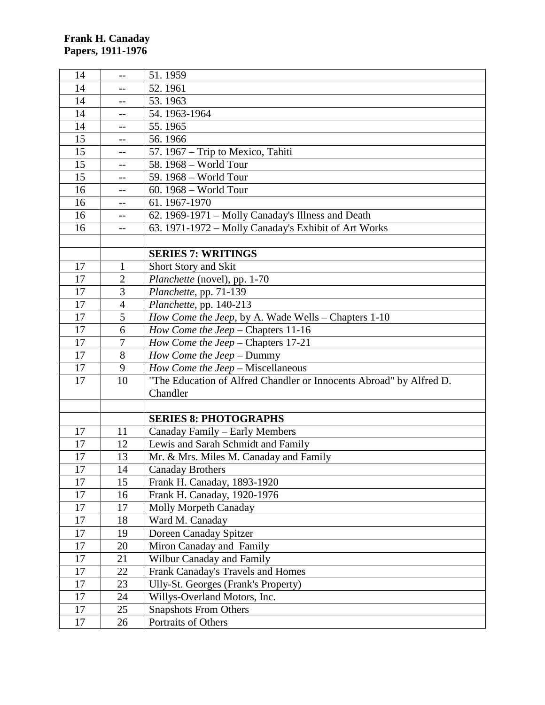| 14     | --             | 51.1959                                                             |
|--------|----------------|---------------------------------------------------------------------|
| 14     |                | 52.1961                                                             |
| 14     | --             | 53.1963                                                             |
| 14     | $-$            | 54.1963-1964                                                        |
| 14     |                | 55.1965                                                             |
| 15     | --             | 56.1966                                                             |
| 15     | --             | 57. 1967 – Trip to Mexico, Tahiti                                   |
| 15     | --             | 58. 1968 - World Tour                                               |
| 15     | $-$            | 59. 1968 - World Tour                                               |
| 16     | --             | 60. 1968 - World Tour                                               |
| 16     |                | 61.1967-1970                                                        |
| 16     | $--$           | 62. 1969-1971 – Molly Canaday's Illness and Death                   |
| 16     |                | 63. 1971-1972 - Molly Canaday's Exhibit of Art Works                |
|        |                |                                                                     |
|        |                | <b>SERIES 7: WRITINGS</b>                                           |
| 17     | $\mathbf{1}$   | Short Story and Skit                                                |
| 17     | $\overline{2}$ | Planchette (novel), pp. 1-70                                        |
| 17     | 3              | Planchette, pp. 71-139                                              |
| 17     | $\overline{4}$ | Planchette, pp. 140-213                                             |
| 17     | 5              | How Come the Jeep, by A. Wade Wells - Chapters 1-10                 |
| 17     | 6              | How Come the Jeep - Chapters 11-16                                  |
| 17     | 7              | How Come the Jeep - Chapters 17-21                                  |
| 17     | 8              | How Come the Jeep - Dummy                                           |
| 17     | 9              | How Come the Jeep - Miscellaneous                                   |
| 17     | 10             | "The Education of Alfred Chandler or Innocents Abroad" by Alfred D. |
|        |                | Chandler                                                            |
|        |                |                                                                     |
|        |                | <b>SERIES 8: PHOTOGRAPHS</b>                                        |
| 17     | 11             | Canaday Family - Early Members                                      |
| 17     | 12             | Lewis and Sarah Schmidt and Family                                  |
| 17     | 13             | Mr. & Mrs. Miles M. Canaday and Family                              |
| $17\,$ | 14             | <b>Canaday Brothers</b>                                             |
| 17     | 15             | Frank H. Canaday, 1893-1920                                         |
| 17     | 16             | Frank H. Canaday, 1920-1976                                         |
| 17     | 17             | <b>Molly Morpeth Canaday</b>                                        |
| 17     | 18             | Ward M. Canaday                                                     |
| 17     | 19             | Doreen Canaday Spitzer                                              |
| 17     | 20             | Miron Canaday and Family                                            |
| 17     | 21             | Wilbur Canaday and Family                                           |
| 17     | 22             | Frank Canaday's Travels and Homes                                   |
| 17     | 23             | Ully-St. Georges (Frank's Property)                                 |
| 17     | 24             | Willys-Overland Motors, Inc.                                        |
| 17     | 25             | <b>Snapshots From Others</b>                                        |
| 17     | 26             | Portraits of Others                                                 |